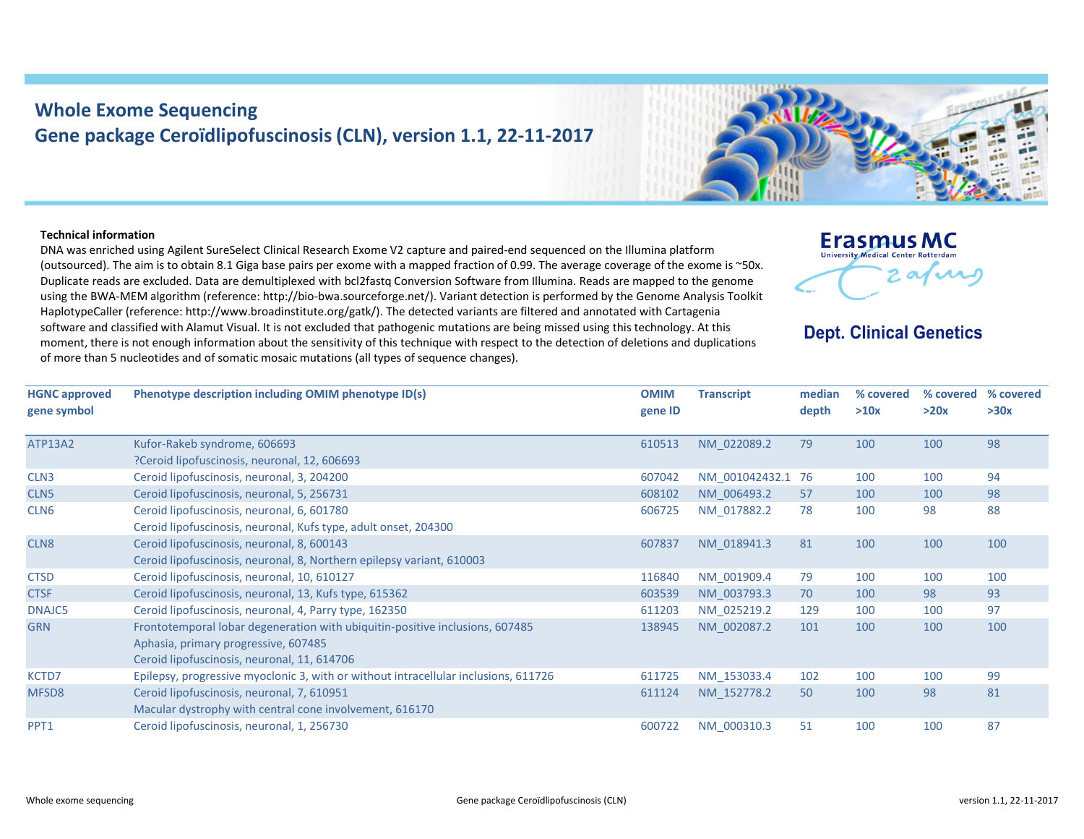# **Whole Exome Sequencing Gene package Ceroïdlipofuscinosis (CLN), version 1.1, 22‐11‐2017**



## **Technical information**

DNA was enriched using Agilent SureSelect Clinical Research Exome V2 capture and paired‐end sequenced on the Illumina platform (outsourced). The aim is to obtain 8.1 Giga base pairs per exome with <sup>a</sup> mapped fraction of 0.99. The average coverage of the exome is ~50x. Duplicate reads are excluded. Data are demultiplexed with bcl2fastq Conversion Software from Illumina. Reads are mapped to the genome using the BWA‐MEM algorithm (reference: http://bio‐bwa.sourceforge.net/). Variant detection is performed by the Genome Analysis Toolkit HaplotypeCaller (reference: http://www.broadinstitute.org/gatk/). The detected variants are filtered and annotated with Cartagenia software and classified with Alamut Visual. It is not excluded that pathogenic mutations are being missed using this technology. At this moment, there is not enough information about the sensitivity of this technique with respect to the detection of deletions and duplications of more than 5 nucleotides and of somatic mosaic mutations (all types of sequence changes).



## **Dept. Clinical Genetics**

| <b>HGNC approved</b> | Phenotype description including OMIM phenotype ID(s)                                | <b>OMIM</b> | <b>Transcript</b> | median | % covered |      | % covered % covered |
|----------------------|-------------------------------------------------------------------------------------|-------------|-------------------|--------|-----------|------|---------------------|
| gene symbol          |                                                                                     | gene ID     |                   | depth  | >10x      | >20x | >30x                |
| <b>ATP13A2</b>       | Kufor-Rakeb syndrome, 606693                                                        | 610513      | NM_022089.2       | 79     | 100       | 100  | 98                  |
|                      | ?Ceroid lipofuscinosis, neuronal, 12, 606693                                        |             |                   |        |           |      |                     |
| CLN <sub>3</sub>     | Ceroid lipofuscinosis, neuronal, 3, 204200                                          | 607042      | NM 001042432.1 76 |        | 100       | 100  | 94                  |
| CLN <sub>5</sub>     | Ceroid lipofuscinosis, neuronal, 5, 256731                                          | 608102      | NM 006493.2       | 57     | 100       | 100  | 98                  |
| CLN <sub>6</sub>     | Ceroid lipofuscinosis, neuronal, 6, 601780                                          | 606725      | NM 017882.2       | 78     | 100       | 98   | 88                  |
|                      | Ceroid lipofuscinosis, neuronal, Kufs type, adult onset, 204300                     |             |                   |        |           |      |                     |
| CLN8                 | Ceroid lipofuscinosis, neuronal, 8, 600143                                          | 607837      | NM 018941.3       | 81     | 100       | 100  | 100                 |
|                      | Ceroid lipofuscinosis, neuronal, 8, Northern epilepsy variant, 610003               |             |                   |        |           |      |                     |
| <b>CTSD</b>          | Ceroid lipofuscinosis, neuronal, 10, 610127                                         | 116840      | NM 001909.4       | 79     | 100       | 100  | 100                 |
| <b>CTSF</b>          | Ceroid lipofuscinosis, neuronal, 13, Kufs type, 615362                              | 603539      | NM 003793.3       | 70     | 100       | 98   | 93                  |
| DNAJC5               | Ceroid lipofuscinosis, neuronal, 4, Parry type, 162350                              | 611203      | NM 025219.2       | 129    | 100       | 100  | 97                  |
| <b>GRN</b>           | Frontotemporal lobar degeneration with ubiquitin-positive inclusions, 607485        | 138945      | NM 002087.2       | 101    | 100       | 100  | 100                 |
|                      | Aphasia, primary progressive, 607485                                                |             |                   |        |           |      |                     |
|                      | Ceroid lipofuscinosis, neuronal, 11, 614706                                         |             |                   |        |           |      |                     |
| KCTD7                | Epilepsy, progressive myoclonic 3, with or without intracellular inclusions, 611726 | 611725      | NM 153033.4       | 102    | 100       | 100  | 99                  |
| MFSD8                | Ceroid lipofuscinosis, neuronal, 7, 610951                                          | 611124      | NM 152778.2       | 50     | 100       | 98   | 81                  |
|                      | Macular dystrophy with central cone involvement, 616170                             |             |                   |        |           |      |                     |
| PPT1                 | Ceroid lipofuscinosis, neuronal, 1, 256730                                          | 600722      | NM 000310.3       | 51     | 100       | 100  | 87                  |